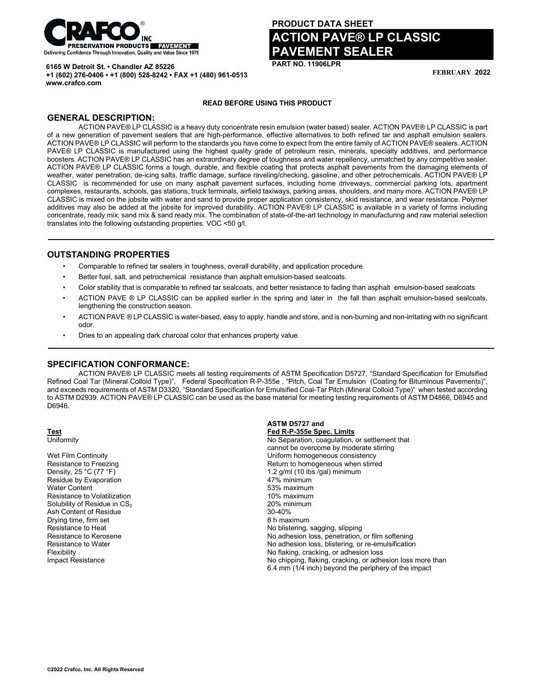

**+1 (602) 276-0406 • +1 (800) 528-8242 • FAX +1 (480) 961-0513**

**6165 W Detroit St. • Chandler AZ 85226**

# **PRODUCT DATA SHEET ACTION PAVE® LP CLASSIC PAVEMENT SEALER**

**PART NO. 11906LPR**

**FEBRUARY 2022**

#### **READ BEFORE USING THIS PRODUCT**

## **GENERAL DESCRIPTION:**

**www.crafco.com**

ACTION PAVE® LP CLASSIC is a heavy duty concentrate resin emulsion (water based) sealer. ACTION PAVE® LP CLASSIC is part of a new generation of pavement sealers that are high-performance, effective alternatives to both refined tar and asphalt emulsion sealers. ACTION PAVE® LP CLASSIC will perform to the standards you have come to expect from the entire family of ACTION PAVE® sealers. ACTION PAVE® LP CLASSIC is manufactured using the highest quality grade of petroleum resin, minerals, specialty additives, and performance boosters. ACTION PAVE® LP CLASSIC has an extraordinary degree of toughness and water repellency, unmatched by any competitive sealer. ACTION PAVE® LP CLASSIC forms a tough, durable, and flexible coating that protects asphalt pavements from the damaging elements of weather, water penetration, de-icing salts, traffic damage, surface raveling/checking, gasoline, and other petrochemicals. ACTION PAVE® LP CLASSIC is recommended for use on many asphalt pavement surfaces, including home driveways, commercial parking lots, apartment complexes, restaurants, schools, gas stations, truck terminals, airfield taxiways, parking areas, shoulders, and many more. ACTION PAVE® LP CLASSIC is mixed on the jobsite with water and sand to provide proper application consistency, skid resistance, and wear resistance. Polymer additives may also be added at the jobsite for improved durability. ACTION PAVE® LP CLASSIC is available in a variety of forms including concentrate, ready mix, sand mix & sand ready mix. The combination of state-of-the-art technology in manufacturing and raw material selection translates into the following outstanding properties. VOC <50 g/l.

#### **OUTSTANDING PROPERTIES**

- Comparable to refined tar sealers in toughness, overall durability, and application procedure.
- Better fuel, salt, and petrochemical resistance than asphalt emulsion-based sealcoats.
- Color stability that is comparable to refined tar sealcoats, and better resistance to fading than asphalt emulsion-based sealcoats
- ACTION PAVE ® LP CLASSIC can be applied earlier in the spring and later in the fall than asphalt emulsion-based sealcoats, lengthening the construction season.
- ACTION PAVE ® LP CLASSIC is water-based, easy to apply, handle and store, and is non-burning and non-irritating with no significant odor.
- Dries to an appealing dark charcoal color that enhances property value.

### **SPECIFICATION CONFORMANCE:**

ACTION PAVE® LP CLASSIC meets all testing requirements of ASTM Specification D5727, "Standard Specification for Emulsified Refined Coal Tar (Mineral Colloid Type)", Federal Specification R-P-355e , "Pitch, Coal Tar Emulsion (Coating for Bituminous Pavements)", and exceeds requirements of ASTM D3320, "Standard Specification for Emulsified Coal-Tar Pitch (Mineral Colloid Type)" when tested according to ASTM D2939. ACTION PAVE® LP CLASSIC can be used as the base material for meeting testing requirements of ASTM D4866, D6945 and D6946.

**ASTM D5727 and** 

Residue by Evaporation<br>Water Content Resistance to Volatilization<br>
Solubility of Residue in CS<sub>2</sub> extending the state of the 10% maximum<br>
20% minimum Solubility of Residue in  $CS_2$ <br>
Ash Content of Residue<br>
20% min Ash Content of Residue Drying time, firm set **8 h maximum**<br>Resistance to Heat **All and Structure of the Structure of the Structure of All and Structure Resistance to Heat** 

**Test Fed R-P-355e Spec. Limits** No Separation, coagulation, or settlement that cannot be overcome by moderate stirring Wet Film Continuity<br>
Resistance to Freezing<br>
Return to homogeneous when stirre Resistance to Freezing Theorem 2012 Control Return to homogeneous when stirred<br>Density, 25 °C (77 °F) 2 (77 °F) 2 (78 °C (77 °F) 2 (78 °C (77 °F) 2 (78 °C (77 °F) 2 (78 °C (77 °F) 2 (78 °C 1.2  $g/ml$  (10 lbs./gal) minimum<br>47% minimum 53% maximum<br>10% maximum Resistance to Heat **No be a set of the COV** Resistance to Heat No belistering, sagging, slipping<br>
Resistance to Kerosene **No a set of the COV** No adhesion loss, penetration, Resistance to Kerosene **No adhesion loss, penetration, or film softening**<br>
Resistance to Water **No adhesion loss**, blistering, or re-emulsification<br>
No adhesion loss, blistering, or re-emulsification No adhesion loss, blistering, or re-emulsification Flexibility<br>
Impact Resistance<br>
Impact Resistance<br>
Mo chipping, flaking, cracking, or adhesion loss No chipping, flaking, cracking, or adhesion loss more than 6.4 mm (1/4 inch) beyond the periphery of the impact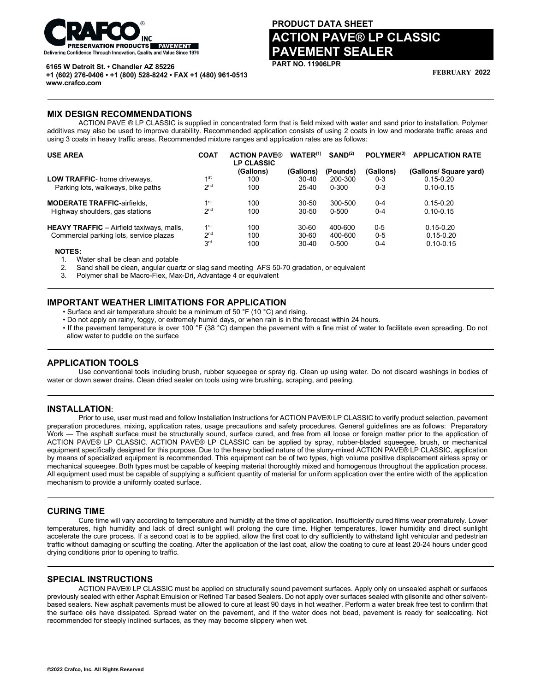

**6165 W Detroit St. • Chandler AZ 85226**

# **PRODUCT DATA SHEET ACTION PAVE® LP CLASSIC PAVEMENT SEALER**

**PART NO. 11906LPR**

**FEBRUARY 2022**

**+1 (602) 276-0406 • +1 (800) 528-8242 • FAX +1 (480) 961-0513 www.crafco.com**

#### **MIX DESIGN RECOMMENDATIONS**

ACTION PAVE ® LP CLASSIC is supplied in concentrated form that is field mixed with water and sand prior to installation. Polymer additives may also be used to improve durability. Recommended application consists of using 2 coats in low and moderate traffic areas and using 3 coats in heavy traffic areas. Recommended mixture ranges and application rates are as follows:

| <b>USE AREA</b>                                  | <b>COAT</b>     | <b>ACTION PAVE®</b><br><b>LP CLASSIC</b> | $WATER^{(1)}$ | SAND <sup>(2)</sup> | POLYMER <sup>(3)</sup> | <b>APPLICATION RATE</b> |
|--------------------------------------------------|-----------------|------------------------------------------|---------------|---------------------|------------------------|-------------------------|
|                                                  |                 | (Gallons)                                | (Gallons)     | (Pounds)            | (Gallons)              | (Gallons/ Square yard)  |
| LOW TRAFFIC- home driveways,                     | 1 <sup>st</sup> | 100                                      | $30-40$       | 200-300             | $0 - 3$                | $0.15 - 0.20$           |
| Parking lots, walkways, bike paths               | 2 <sub>nd</sub> | 100                                      | $25 - 40$     | $0 - 300$           | $0 - 3$                | $0.10 - 0.15$           |
| <b>MODERATE TRAFFIC-airfields,</b>               | 1 <sup>st</sup> | 100                                      | $30 - 50$     | 300-500             | $0 - 4$                | $0.15 - 0.20$           |
| Highway shoulders, gas stations                  | 2 <sub>nd</sub> | 100                                      | 30-50         | $0 - 500$           | $0 - 4$                | $0.10 - 0.15$           |
| <b>HEAVY TRAFFIC</b> - Airfield taxiways, malls, | 1 <sup>st</sup> | 100                                      | $30 - 60$     | 400-600             | $0 - 5$                | $0.15 - 0.20$           |
| Commercial parking lots, service plazas          | 2 <sub>nd</sub> | 100                                      | 30-60         | 400-600             | $0 - 5$                | $0.15 - 0.20$           |
|                                                  | 3 <sup>rd</sup> | 100                                      | $30 - 40$     | $0 - 500$           | $0 - 4$                | $0.10 - 0.15$           |
| <b>NOTES:</b>                                    |                 |                                          |               |                     |                        |                         |

1. Water shall be clean and potable<br>2. Sand shall be clean, angular quai 2. Sand shall be clean, angular quartz or slag sand meeting AFS 50-70 gradation, or equivalent

3. Polymer shall be Macro-Flex, Max-Dri, Advantage 4 or equivalent

## **IMPORTANT WEATHER LIMITATIONS FOR APPLICATION**

• Surface and air temperature should be a minimum of 50 °F (10 °C) and rising.

- Do not apply on rainy, foggy, or extremely humid days, or when rain is in the forecast within 24 hours.
- If the pavement temperature is over 100°F (38 °C) dampen the pavement with a fine mist of water to facilitate even spreading. Do not allow water to puddle on the surface

### **APPLICATION TOOLS**

Use conventional tools including brush, rubber squeegee or spray rig. Clean up using water. Do not discard washings in bodies of water or down sewer drains. Clean dried sealer on tools using wire brushing, scraping, and peeling.

## **INSTALLATION**:

Prior to use, user must read and follow Installation Instructions for ACTION PAVE® LP CLASSIC to verify product selection, pavement preparation procedures, mixing, application rates, usage precautions and safety procedures. General guidelines are as follows: Preparatory Work — The asphalt surface must be structurally sound, surface cured, and free from all loose or foreign matter prior to the application of ACTION PAVE® LP CLASSIC. ACTION PAVE® LP CLASSIC can be applied by spray, rubber-bladed squeegee, brush, or mechanical equipment specifically designed for this purpose. Due to the heavy bodied nature of the slurry-mixed ACTION PAVE® LP CLASSIC, application by means of specialized equipment is recommended. This equipment can be of two types, high volume positive displacement airless spray or mechanical squeegee. Both types must be capable of keeping material thoroughly mixed and homogenous throughout the application process. All equipment used must be capable of supplying a sufficient quantity of material for uniform application over the entire width of the application mechanism to provide a uniformly coated surface.

#### **CURING TIME**

Cure time will vary according to temperature and humidity at the time of application. Insufficiently cured films wear prematurely. Lower temperatures, high humidity and lack of direct sunlight will prolong the cure time. Higher temperatures, lower humidity and direct sunlight accelerate the cure process. If a second coat is to be applied, allow the first coat to dry sufficiently to withstand light vehicular and pedestrian traffic without damaging or scuffing the coating. After the application of the last coat, allow the coating to cure at least 20-24 hours under good drying conditions prior to opening to traffic.

#### **SPECIAL INSTRUCTIONS**

ACTION PAVE® LP CLASSIC must be applied on structurally sound pavement surfaces. Apply only on unsealed asphalt or surfaces previously sealed with either Asphalt Emulsion or Refined Tar based Sealers. Do not apply over surfaces sealed with gilsonite and other solventbased sealers. New asphalt pavements must be allowed to cure at least 90 days in hot weather. Perform a water break free test to confirm that the surface oils have dissipated. Spread water on the pavement, and if the water does not bead, pavement is ready for sealcoating. Not recommended for steeply inclined surfaces, as they may become slippery when wet.